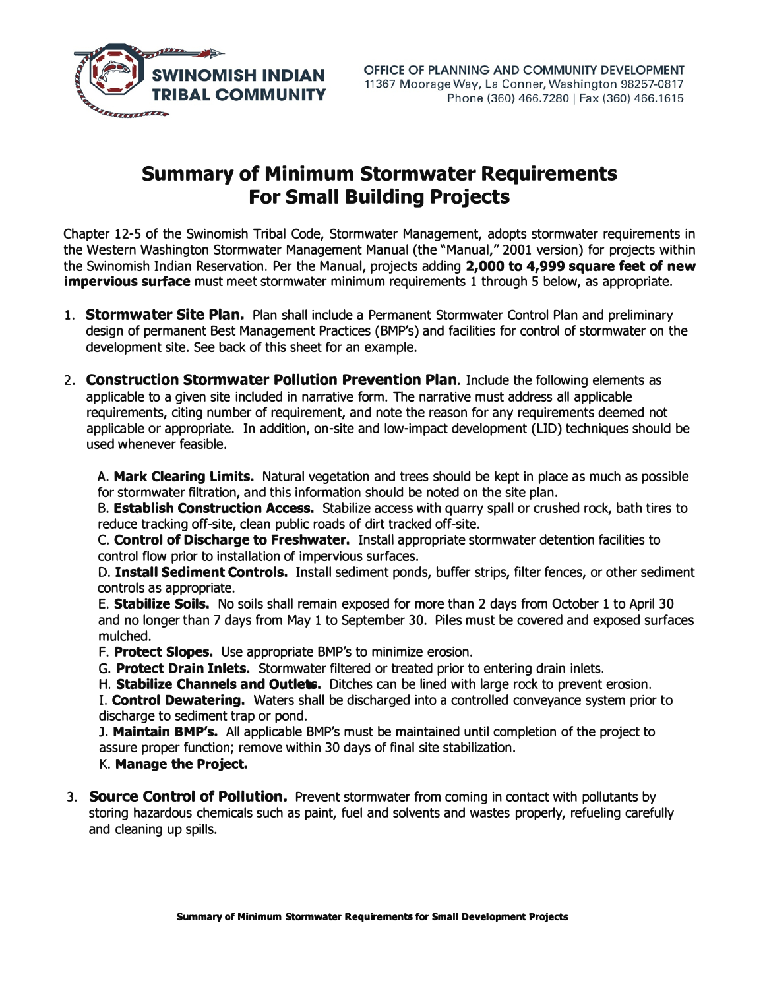

## **Summary of Minimum Stormwater Requirements For Small Building Projects**

Chapter 12-5 of the Swinomish Tribal Code, Stormwater Management, adopts stormwater requirements in the Western Washington Stormwater Management Manual (the "Manual," 2001 version) for projects within the Swinomish Indian Reservation. Per the Manual, projects adding **2,000 to 4,999 square feet of new impervious surface** must meet stormwater minimum requirements 1 through 5 below, as appropriate.

- 1. **Stormwater Site Plan.** Plan shall include a Permanent Stormwater Control Plan and preliminary design of permanent Best Management Practices (BMP's) and facilities for control of stormwater on the development site. See back of this sheet for an example.
- 2. **Construction Stormwater Pollution Prevention Plan.** Include the following elements as applicable to a given site included in narrative form. The narrative must address all applicable requirements, citing number of requirement, and note the reason for any requirements deemed not applicable or appropriate. In addition, on-site and low-impact development (LID) techniques should be used whenever feasible.

A. **Mark Clearing Limits.** Natural vegetation and trees should be kept in place as much as possible for stormwater filtration, and this information should be noted on the site plan.

B. **Establish Construction Access.** Stabilize access with quarry spall or crushed rock, bath tires to reduce tracking off-site, clean public roads of dirt tracked off-site.

C. **Control of Discharge to Freshwater.** Install appropriate stormwater detention facilities to control flow prior to installation of impervious surfaces.

D. **Install Sediment Controls.** Install sediment ponds, buffer strips, filter fences, or other sediment controls as appropriate.

E. **Stabilize Soils.** No soils shall remain exposed for more than 2 days from October 1 to April 30 and no longer than 7 days from May 1 to September 30. Piles must be covered and exposed surfaces mulched.

- F. **Protect Slopes.** Use appropriate BMP's to minimize erosion.
- G. **Protect Drain Inlets.** Stormwater filtered or treated prior to entering drain inlets.
- H. **Stabilize Channels and Outlets.** Ditches can be lined with large rock to prevent erosion.

I. **Control Dewatering.** Waters shall be discharged into a controlled conveyance system prior to discharge to sediment trap or pond.

J. **Maintain BMP's.** All applicable BMP's must be maintained until completion of the project to assure proper function; remove within 30 days of final site stabilization. K. **Manage the Project.**

3. **Source Control of Pollution.** Prevent stormwater from coming in contact with pollutants by storing hazardous chemicals such as paint, fuel and solvents and wastes properly, refueling carefully and cleaning up spills.